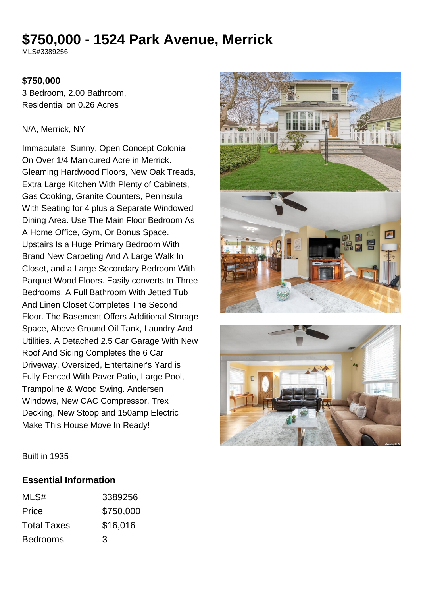# **\$750,000 - 1524 Park Avenue, Merrick**

MLS#3389256

### **\$750,000**

3 Bedroom, 2.00 Bathroom, Residential on 0.26 Acres

#### N/A, Merrick, NY

Immaculate, Sunny, Open Concept Colonial On Over 1/4 Manicured Acre in Merrick. Gleaming Hardwood Floors, New Oak Treads, Extra Large Kitchen With Plenty of Cabinets, Gas Cooking, Granite Counters, Peninsula With Seating for 4 plus a Separate Windowed Dining Area. Use The Main Floor Bedroom As A Home Office, Gym, Or Bonus Space. Upstairs Is a Huge Primary Bedroom With Brand New Carpeting And A Large Walk In Closet, and a Large Secondary Bedroom With Parquet Wood Floors. Easily converts to Three Bedrooms. A Full Bathroom With Jetted Tub And Linen Closet Completes The Second Floor. The Basement Offers Additional Storage Space, Above Ground Oil Tank, Laundry And Utilities. A Detached 2.5 Car Garage With New Roof And Siding Completes the 6 Car Driveway. Oversized, Entertainer's Yard is Fully Fenced With Paver Patio, Large Pool, Trampoline & Wood Swing. Andersen Windows, New CAC Compressor, Trex Decking, New Stoop and 150amp Electric Make This House Move In Ready!





Built in 1935

#### **Essential Information**

| MLS#               | 3389256   |
|--------------------|-----------|
| Price              | \$750,000 |
| <b>Total Taxes</b> | \$16,016  |
| <b>Bedrooms</b>    | 3         |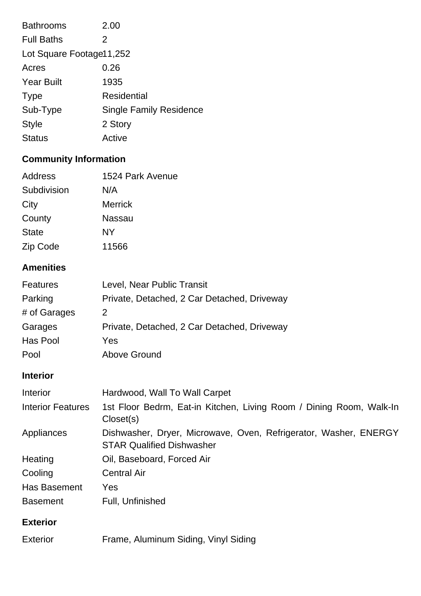| <b>Bathrooms</b>         | 2.00                           |  |
|--------------------------|--------------------------------|--|
| <b>Full Baths</b>        | 2                              |  |
| Lot Square Footage11,252 |                                |  |
| Acres                    | 0.26                           |  |
| <b>Year Built</b>        | 1935                           |  |
| <b>Type</b>              | <b>Residential</b>             |  |
| Sub-Type                 | <b>Single Family Residence</b> |  |
| <b>Style</b>             | 2 Story                        |  |
| <b>Status</b>            | Active                         |  |

## **Community Information**

| Address      | 1524 Park Avenue |
|--------------|------------------|
| Subdivision  | N/A              |
| City         | <b>Merrick</b>   |
| County       | <b>Nassau</b>    |
| <b>State</b> | NΥ               |
| Zip Code     | 11566            |

### **Amenities**

| <b>Features</b> | Level, Near Public Transit                  |
|-----------------|---------------------------------------------|
| Parking         | Private, Detached, 2 Car Detached, Driveway |
| # of Garages    | 2                                           |
| Garages         | Private, Detached, 2 Car Detached, Driveway |
| Has Pool        | Yes                                         |
| Pool            | <b>Above Ground</b>                         |

### **Interior**

| Interior                 | Hardwood, Wall To Wall Carpet                                                                        |
|--------------------------|------------------------------------------------------------------------------------------------------|
| <b>Interior Features</b> | 1st Floor Bedrm, Eat-in Kitchen, Living Room / Dining Room, Walk-In<br>Closet(s)                     |
| Appliances               | Dishwasher, Dryer, Microwave, Oven, Refrigerator, Washer, ENERGY<br><b>STAR Qualified Dishwasher</b> |
| Heating                  | Oil, Baseboard, Forced Air                                                                           |
| Cooling                  | <b>Central Air</b>                                                                                   |
| <b>Has Basement</b>      | Yes                                                                                                  |
| <b>Basement</b>          | Full, Unfinished                                                                                     |
| <b>Exterior</b>          |                                                                                                      |
| Exterior                 | Frame, Aluminum Siding, Vinyl Siding                                                                 |